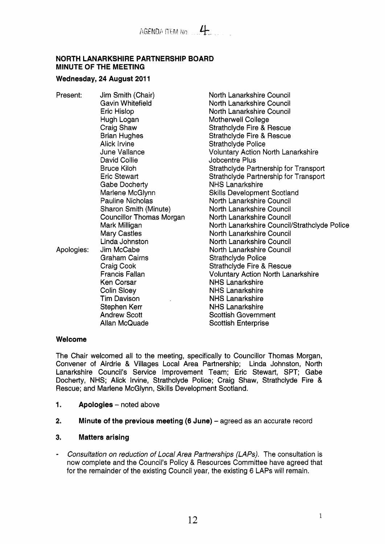### **NORTH LANARKSHIRE PARTNERSHIP BOARD MINUTE OF THE MEETING**

#### Wednesday, 24 August 2011

Present: Jim Smith (Chair) Gavin Whitefield Eric Hislop Hugh Logan Craig Shaw Brian Hughes Alick lrvine June Vallance David Collie Bruce Kiloh Eric Stewart Gabe Docherty Marlene McGlynn Pauline Nicholas Sharon Smith (Minute) Councillor Thomas Morgan Mark Milligan Mary Castles Linda Johnston Apologies: Jim McCabe Graham Cairns Craig Cook Francis Fallan Ken Corsar Colin Sloey Tim Davison Stephen Kerr Andrew Scott Allan McQuade

North Lanarkshire Council North Lanarkshire Council North Lanarkshire Council Motherwell College Strathclyde Fire & Rescue Strathclyde Fire & Rescue Strathclyde Police Voluntary Action North Lanarkshire Jobcentre Plus Strathclyde Partnership for Transport Strathclyde Partnership for Transport NHS Lanarkshire Skills Development Scotland North Lanarkshire Council North Lanarkshire Council North Lanarkshire Council North Lanarkshire Council/Strathclyde Police North Lanarkshire Council North Lanarkshire Council North Lanarkshire Council Strathclyde Police Strathclyde Fire & Rescue Voluntary Action North Lanarkshire NHS Lanarkshire NHS Lanarkshire NHS Lanarkshire NHS Lanarkshire Scottish Government Scottish Enterprise

### **Welcome**

The Chair welcomed all to the meeting, specifically to Councillor Thomas Morgan, Convener of Airdrie & Villages Local Area Partnership; Linda Johnston, North Lanarkshire Council's Service Improvement Team; Eric Stewart, SPT; Gabe Docherty, NHS; Alick Irvine, Strathclyde Police; Craig Shaw, Strathclyde Fire & Rescue; and Marlene McGlynn, Skills Development Scotland.

- **1.** Apologies noted above
- **2.** Minute of the previous meeting (6 June) agreed as an accurate record

### **3. Matters arising**

- *Consultation on reduction of Local Area Partnerships (LAPs).* The consultation is now complete and the Council's Policy & Resources Committee have agreed that for the remainder of the existing Council year, the existing 6 LAPs will remain.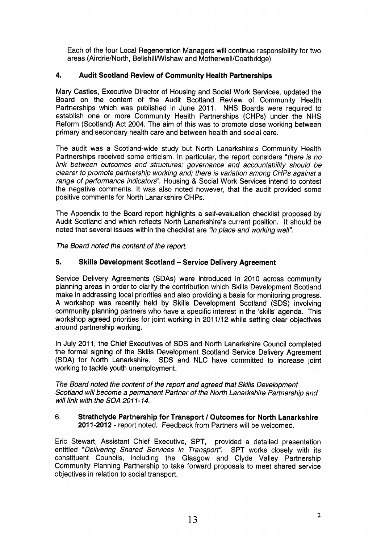Each of the four Local Regeneration Managers will continue responsibility for two areas (Airdrie/North, Bellshill/Wishaw and Motherwell/Coatbridge)

## **4. Audit Scotland Review of Community Health Partnerships**

Mary Castles, Executive Director of Housing and Social Work Services, updated the Board on the content of the Audit Scotland Review of Community Health Partnerships which was published in June 2011. NHS Boards were required to establish one or more Community Health Partnerships (CHPs) under the NHS Reform (Scotland) Act 2004. The aim of this was to promote close working between primary and secondary health care and between health and social care.

The audit was a Scotland-wide study but North Lanarkshire's Community Health Partnerships received some criticism. In particular, the report considers *"there is no link between outcomes and structures; governance and accountability should be clearer to promote partnership working and; there is variation among CHPs against a range* of *performance indicators".* Housing & Social Work Services intend to contest the negative comments. It was also noted however, that the audit provided some positive comments for North Lanarkshire CHPs.

The Appendix to the Board report highlights a self-evaluation checklist proposed by Audit Scotland and which reflects North Lanarkshire's current position. It should be noted that several issues within the checklist are *"in place and working well':* 

*The Board noted the content* of *the report.* 

## **5. Skills Development Scotland** - **Service Delivery Agreement**

Service Delivery Agreements (SDAs) were introduced in 2010 across community planning areas in order to clarify the contribution which Skills Development Scotland make in addressing local priorities and also providing a basis for monitoring progress. A workshop was recently held by Skills Development Scotland (SDS) involving community planning partners who have a specific interest in the 'skills' agenda. This workshop agreed priorities for joint working in 201 1/12 while setting clear objectives around partnership working.

In July 2011, the Chief Executives of SDS and North Lanarkshire Council completed the formal signing of the Skills Development Scotland Service Delivery Agreement (SDA) for North Lanarkshire. SDS and NLC have committed to increase joint working to tackle youth unemployment.

*The Board noted the content* of *the report and agreed that Skills Development Scotland will become a permanent Partner* of *the North Lanarkshire Partnership and will link with the SOA 201 1* - *14.* 

#### 6. **Strathclyde Partnership for Transport** / **Outcomes for North Lanarkshire 2011-2012** - report noted. Feedback from Partners will be welcomed.

Eric Stewart, Assistant Chief Executive, SPT, provided a detailed presentation entitled *"Delivering Shared Services in Transport".* SPT works closely with its constituent Councils, including the Glasgow and Clyde Valley Partnership Community Planning Partnership to take forward proposals to meet shared service objectives in relation to social transport.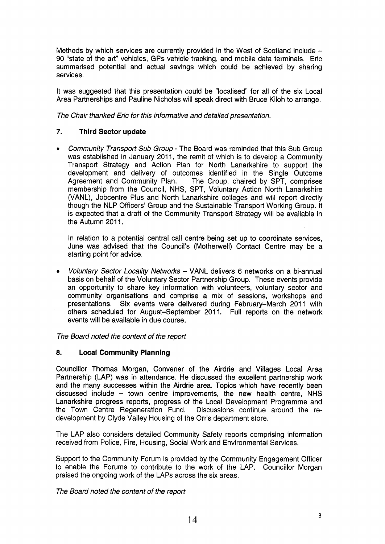Methods by which services are currently provided in the West of Scotland include  $-$ 90 "state of the art" vehicles, GPs vehicle tracking, and mobile data terminals. Eric summarised potential and actual savings which could be achieved by sharing services.

It was suggested that this presentation could be "localised" for all of the six Local Area Partnerships and Pauline Nicholas will speak direct with Bruce Kiloh to arrange.

*The Chair thanked Eric for this informative and detailed presentation.* 

## **7. Third Sector update**

*Community Transport Sub Group* - The Board was reminded that this Sub Group was established in January 2011, the remit of which is to develop a Community Transport Strategy and Action Plan for North Lanarkshire to support the development and delivery of outcomes identified in the Single Outcome Agreement and Community Plan. The Group, chaired by SPT, comprises membership from the Council, NHS, SPT, Voluntary Action North Lanarkshire (VANL), Jobcentre Plus and North Lanarkshire colleges and will report directly though the NLP Officers' Group and the Sustainable Transport Working Group. It is expected that a draft of the Community Transport Strategy will be available in the Autumn 2011.

In relation to a potential central call centre being set up to coordinate services, June was advised that the Council's (Motherwell) Contact Centre may be a starting point for advice.

*Voluntary Sector Locality Networks* - VANL delivers 6 networks on a bi-annual basis on behalf of the Voluntary Sector Partnership Group. These events provide an opportunity to share key information with volunteers, voluntary sector and community organisations and comprise a mix of sessions, workshops and presentations. Six events were delivered during February-March 2011 with others scheduled for August-September 2011. Full reports on the network events will be available in due course.

*The Board noted the content of the report* 

# **8. Local Community Planning**

Councillor Thomas Morgan, Convener of the Airdrie and Villages Local Area Partnership (LAP) was in attendance. He discussed the excellent partnership work and the many successes within the Airdrie area. Topics which have recently been discussed include - town centre improvements, the new health centre, NHS Lanarkshire progress reports, progress of the Local Development Programme and the Town Centre Regeneration Fund. Discussions continue around the redevelopment by Clyde Valley Housing of the Orr's department store.

The LAP also considers detailed Community Safety reports comprising information received from Police, Fire, Housing, Social Work and Environmental Services.

Support to the Community Forum is provided by the Community Engagement Officer to enable the Forums to contribute to the work of the LAP. Councillor Morgan praised the ongoing work of the LAPS across the six areas.

*The Board noted the content of the report*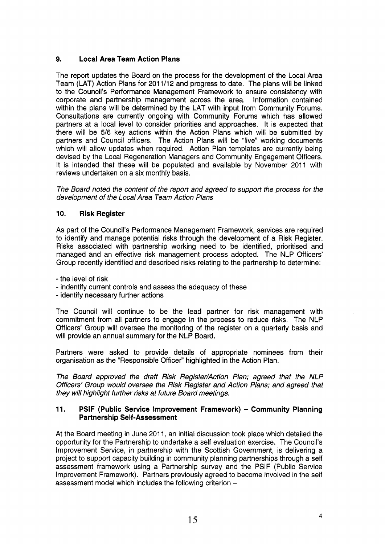# **9. Local Area Team Action Plans**

The report updates the Board on the process for the development of the Local Area Team (LAT) Action Plans for 201 **1/12** and progress to date. The plans will be linked to the Council's Performance Management Framework to ensure consistency with corporate and partnership management across the area. Information contained within the plans will be determined by the LAT with input from Community Forums. Consultations are currently ongoing with Community Forums which has allowed partners at a local level to consider priorities and approaches. It is expected that there will be **5/6** key actions within the Action Plans which will be submitted by partners and Council officers. The Action Plans will be "live" working documents which will allow updates when required. Action Plan templates are currently being devised by the Local Regeneration Managers and Community Engagement Officers. It is intended that these will be populated and available by November 2011 with reviews undertaken on a six monthly basis.

*The Board noted the content of the report and agreed to support the process for the development of the Local Area Team Action Plans* 

## **10. Risk Register**

As part of the Council's Performance Management Framework, services are required to identify and manage potential risks through the development of a Risk Register. Risks associated with partnership working need to be identified, prioritised and managed and an effective risk management process adopted. The NLP Officers' Group recently identified and described risks relating to the partnership to determine:

- the level of risk

- indentify current controls and assess the adequacy of these
- identify necessary further actions

The Council will continue to be the lead partner for risk management with commitment from all partners to engage in the process to reduce risks. The NLP Officers' Group will oversee the monitoring of the register on a quarterly basis and will provide an annual summary for the NLP Board.

Partners were asked to provide details of appropriate nominees from their organisation as the "Responsible Officer" highlighted in the Action Plan.

*The Board approved the draft Risk Register/Action Plan; agreed that the NLP Officers' Group would oversee the Risk Register and Action Plans; and agreed that they will highlight further risks at future Board meetings.* 

#### **11.** PSIF (Public Service Improvement Framework) - Community Planning **Partnership Self-Assessment**

At the Board meeting in June 2011, an initial discussion took place which detailed the opportunity for the Partnership to undertake a self evaluation exercise. The Council's Improvement Service, in partnership with the Scottish Government, is delivering a project to support capacity building in community planning partnerships through a self assessment framework using a Partnership survey and the PSlF (Public Service Improvement Framework). Partners previously agreed to become involved in the self assessment model which includes the following criterion -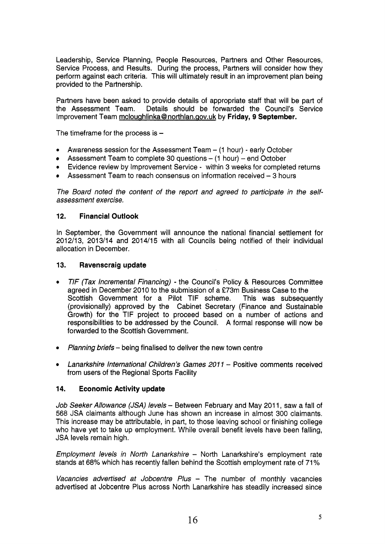Leadership, Service Planning, People Resources, Partners and Other Resources, Service Process, and Results. During the process, Partners will consider how they perform against each criteria. This will ultimately result in an improvement plan being provided to the Partnership.

Partners have been asked to provide details of appropriate staff that will be part of the Assessment Team. Details should be forwarded the Council's Service Improvement Team mcloughlinka@northlan.gov.uk by Friday, 9 September.

The timeframe for the process is  $-$ 

- Awareness session for the Assessment Team (1 hour) early October
- Assessment Team to complete 30 questions  $-$  (1 hour)  $-$  end October
- *<sup>0</sup>*Evidence review by Improvement Service within 3 weeks for completed returns
- Assessment Team to reach consensus on information received 3 hours

*The Board noted the content of the report and agreed to participate in the selfassessment exercise.* 

#### **12. Financial Outlook**

In September, the Government will announce the national financial settlement for 2012/13, 2013/14 and 2014/15 with all Councils being notified of their individual allocation in December.

#### **13. Ravenscraig update**

- *<sup>0</sup>TlF (Tax lncremental Financing)*  the Council's Policy & Resources Committee agreed in December 2010 to the submission of a £73m Business Case to the Scottish Government for a Pilot TIF scheme. This was subsequently (provisionally) approved by the Cabinet Secretary (Finance and Sustainable Growth) for the TIF project to proceed based on a number of actions and responsibilities to be addressed by the Council. A formal response will now be forwarded to the Scottish Government.
- *<sup>0</sup>Planning briefs*  being finalised to deliver the new town centre
- Lanarkshire International Children's Games 2011 Positive comments received from users of the Regional Sports Facility

### **14. Economic Activity update**

*Job Seeker Allowance (JSA) levels* - Between February and May 2011, saw a fall of 568 JSA claimants although June has shown an increase in almost 300 claimants. This increase may be attributable, in part, to those leaving school or finishing college who have yet to take up employment. While overall benefit levels have been falling, JSA levels remain high.

*Employment levels in North Lanarkshire* – North Lanarkshire's employment rate stands at 68% which has recently fallen behind the Scottish employment rate of 71%

*Vacancies advertised at Jobcentre Plus* - The number of monthly vacancies advertised at Jobcentre Plus across North Lanarkshire has steadily increased since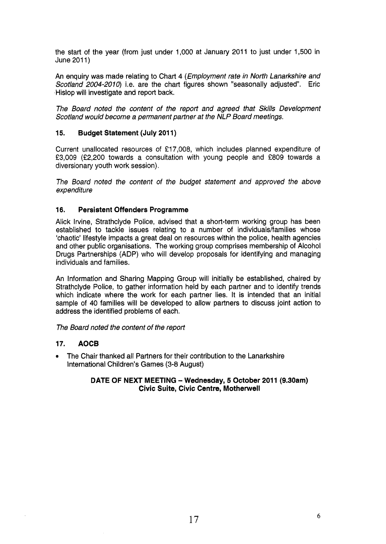the start of the year (from just under 1,000 at January 2011 to just under 1,500 in June 201 1)

An enquiry was made relating to Chart **4** *(Employment rate in North Lanarkshire and Scotland 2004-2010)* i.e. are the chart figures shown "seasonally adjusted. Eric Hislop will investigate and report back.

*The Board noted the content* of *the report and agreed that Skills Development Scotland would become a permanent partner at the NLP Board meetings.* 

## **15. Budget Statement (July 201 1)**

Current unallocated resources of €1 7,008, which includes planned expenditure of €3,009 (€2,200 towards **a** consultation with young people and €809 towards a diversionary youth work session).

*The Board noted the content of the budget statement and approved the above expenditure* 

### **16. Persistent Offenders Programme**

Alick Irvine, Strathclyde Police, advised that a short-term working group has been established to tackle issues relating to a number of individuals/families whose 'chaotic' lifestyle impacts a great deal on resources within the police, health agencies and other public organisations. The working group comprises membership of Alcohol Drugs Partnerships (ADP) who will develop proposals for identifying and managing individuals and families.

An Information and Sharing Mapping Group will initially be established, chaired by Strathclyde Police, to gather information held by each partner and to identify trends which indicate where the work for each partner lies. It is intended that an initial sample of 40 families will be developed to allow partners to discuss joint action to address the identified problems of each.

### *The Board noted the content of the report*

### **17. AOCB**

The Chair thanked all Partners for their contribution to the Lanarkshire International Children's Games (3-8 August)

#### **DATE OF NEXT MEETING - Wednesday, 5 October 2011 (9.30am) Civic Suite, Civic Centre, Motherwell**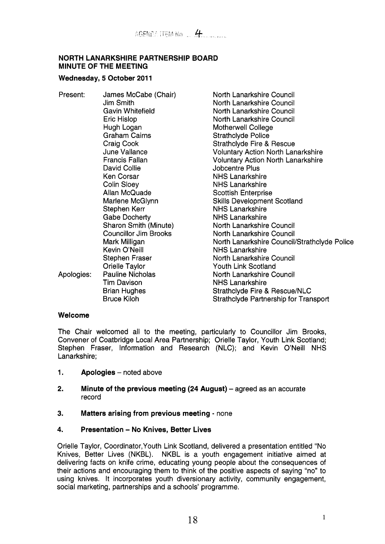## **NORTH LANARKSHIRE PARTNERSHIP BOARD MINUTE OF THE MEETING**

### Wednesday, 5 October 2011

Present: James McCabe (Chair) Jim Smith Gavin Whitefield Eric Hislop Hugh Logan Graham Cairns Craig Cook June Vallance Francis Fallan David Collie Ken Corsar Colin Sloey Allan McQuade Marlene McGlynn Stephen Kerr Gabe Docherty Sharon Smith (Minute) Councillor Jim Brooks Mark Milligan Kevin O'Neill Stephen Fraser Orielle Taylor Tim Davison Brian Hughes Bruce Kiloh Apologies: Pauline Nicholas

North Lanarkshire Council North Lanarkshire Council North Lanarkshire Council North Lanarkshire Council Motherwell College Strathclyde Police Strathclyde Fire & Rescue Voluntary Action North Lanarkshire Voluntary Action North Lanarkshire Jobcentre Plus NHS Lanarkshire NHS Lanarkshire Scottish Enterprise Skills Development Scotland NHS Lanarkshire NHS Lanarkshire North Lanarkshire Council North Lanarkshire Council North Lanarkshire Council/Strathclyde Police NHS Lanarkshire North Lanarkshire Council Youth Link Scotland North Lanarkshire Council NHS Lanarkshire Strathclyde Fire & Rescue/NLC Strathclyde Partnership for Transport

### **Welcome**

The Chair welcomed all to the meeting, particularly to Councillor Jim Brooks, Convener of Coatbridge Local Area Partnership; Orielle Taylor, Youth Link Scotland; Stephen Fraser, Information and Research (NLC); and Kevin O'Neill NHS Lanarkshire;

- **1.** Apologies noted above
- **2.** Minute of the previous meeting (24 August) agreed as an accurate record
- **3. Matters arising from previous meeting**  none
- **4. Presentation No Knives, Better Lives**

Orielle Taylor, Coordinator,Youth Link Scotland, delivered a presentation entitled "No Knives, Better Lives (NKBL). NKBL is a youth engagement initiative aimed at delivering facts on knife crime, educating young people about the consequences of their actions and encouraging them to think of the positive aspects of saying "no" to using knives. It incorporates youth diversionary activity, community engagement, social marketing, partnerships and a schools' programme.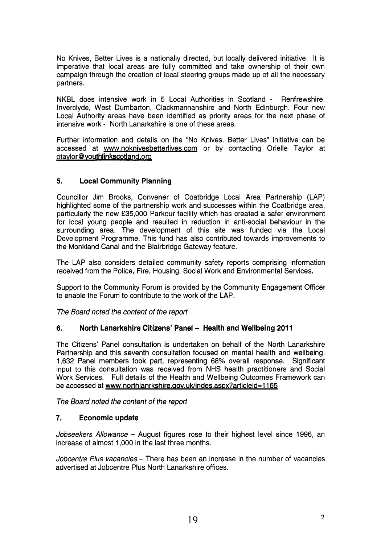No Knives, Better Lives is a nationally directed, but locally delivered initiative. It is imperative that local areas are fully committed and take ownership of their own campaign through the creation of local steering groups made up of all the necessary partners.

NKBL does intensive work in *5* Local Authorities in Scotland - Renfrewshire, Inverclyde, West Dumbarton, Clackmannanshire and North Edinburgh. Four new Local Authority areas have been identified as priority areas for the next phase of intensive work - North Lanarkshire is one of these areas.

Further information and details on the "No Knives, Better Lives" initiative can be accessed at [www.noknivesbetterlives.com](http://www.noknivesbetterlives.com) or by contacting Orielle Taylor at otavlor @vouthlinkscotland.orq

# **5. Local Community Planning**

Councillor Jim Brooks, Convener of Coatbridge Local Area Partnership (LAP) highlighted some of the partnership work and successes within the Coatbridge area, particularly the new **f35,000** Parkour facility which has created a safer environment for local young people and resulted in reduction in anti-social behaviour in the surrounding area. The development of this site was funded via the Local Development Programme. This fund has also contributed towards improvements to the Monkland Canal and the Blairbridge Gateway feature.

The LAP also considers detailed community safety reports comprising information received from the Police, Fire, Housing, Social Work and Environmental Services.

Support to the Community Forum is provided by the Community Engagement Officer to enable the Forum to contribute to the work of the LAP.

*The Board noted the content of the report* 

# **6.** North Lanarkshire Citizens' Panel - Health and Wellbeing 2011

The Citizens' Panel consultation is undertaken on behalf of the North Lanarkshire Partnership and this seventh consultation focused on mental health and wellbeing. **1,632** Panel members took part, representing 68% overall response. Significant input to this consultation was received from NHS health practitioners and Social Work Services. Full details of the Health and Wellbeing Outcomes Framework can be accessed at www.northlanrkshire.gov.uk/indes.aspx?articleid=1165

*The Board noted the content of the report* 

# **7. Economic update**

*Jobseekers Allowance* - August figures rose to their highest level since **1996,** an increase of almost **1,000** in the last three months.

*Jobcentre Plus vacancies* - There has been an increase in the number of vacancies advertised at Jobcentre Plus North Lanarkshire offices.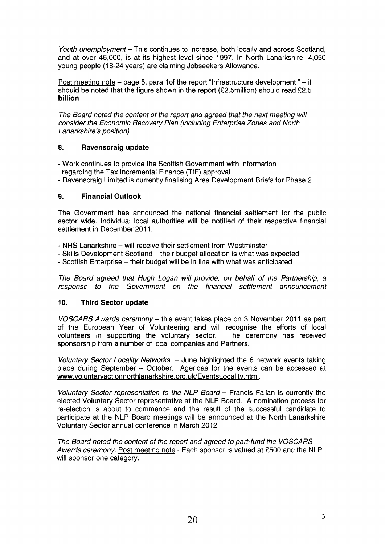*Youth unemployment* - This continues to increase, both locally and across Scotland, and at over 46,000, is at its highest level since 1997. In North Lanarkshire, 4,050 young people (18-24 years) are claiming Jobseekers Allowance.

Post meeting note - page 5, para 1 of the report "Infrastructure development " - it should be noted that the figure shown in the report (£2.5million) should read £2.5 **billion** 

The Board noted the content of the report and agreed that the next meeting will *consider the Economic Recovery Plan (including Enterprise Zones and North Lanarkshire* 's *position).* 

## **8. Ravenscraig update**

- Work continues to provide the Scottish Government with information regarding the Tax Incremental Finance (TIF) approval
- Ravenscraig Limited is currently finalising Area Development Briefs for Phase 2

# **9. Financial Outlook**

The Government has announced the national financial settlement for the public sector wide. Individual local authorities will be notified of their respective financial settlement in December 2011.

- NHS Lanarkshire will receive their settlement from Westminster
- Skills Development Scotland their budget allocation is what was expected
- Scottish Enterprise their budget will be in line with what was anticipated

*The Board agreed that Hugh Logan will provide, on behalf of the Partnership, a response to the Government on the financial settlement announcement* 

### **10. Third Sector update**

*VOSCARS Awards ceremony – this event takes place on 3 November 2011 as part* of the European Year of Volunteering and will recognise the efforts of local volunteers in supporting the voluntary sector. The ceremony has received sponsorship from a number of local companies and Partners.

*Voluntary Sector Locality Networks - June highlighted the 6 network events taking* place during September - October. Agendas for the events can be accessed at www.voluntaryactionnorthlanarkshire.org.uk/EventsLocality.html.

*Voluntary Sector representation to the NLP Board - Francis Fallan is currently the* elected Voluntary Sector representative at the NLP Board. A nomination process for re-election is about to commence and the result of the successful candidate to participate at the NLP Board meetings will be announced at the North Lanarkshire Voluntary Sector annual conference in March 2012

*The Board noted the content of the report and agreed to part-fund the VOSCARS Awards ceremony.* Post meeting note - Each sponsor is valued at £500 and the NLP will sponsor one category.